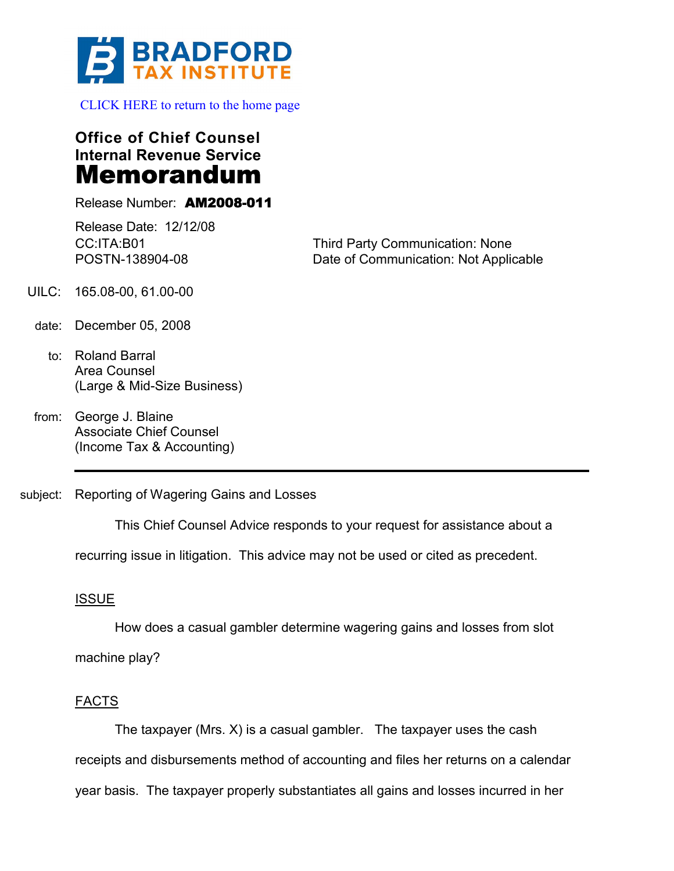

[CLICK HERE to return to the home page](www.bradfordtaxinstitute.com) 

**Office of Chief Counsel Internal Revenue Service** Memorandum

Release Number: AM2008-011

Release Date: 12/12/08 CC:ITA:B01 POSTN-138904-08

Third Party Communication: None Date of Communication: Not Applicable

- UILC: 165.08-00, 61.00-00
	- date: December 05, 2008
		- to: Roland Barral Area Counsel (Large & Mid-Size Business)
	- from: George J. Blaine Associate Chief Counsel (Income Tax & Accounting)
- subject: Reporting of Wagering Gains and Losses

This Chief Counsel Advice responds to your request for assistance about a

recurring issue in litigation. This advice may not be used or cited as precedent.

# ISSUE

How does a casual gambler determine wagering gains and losses from slot machine play?

# FACTS

The taxpayer (Mrs. X) is a casual gambler. The taxpayer uses the cash receipts and disbursements method of accounting and files her returns on a calendar year basis. The taxpayer properly substantiates all gains and losses incurred in her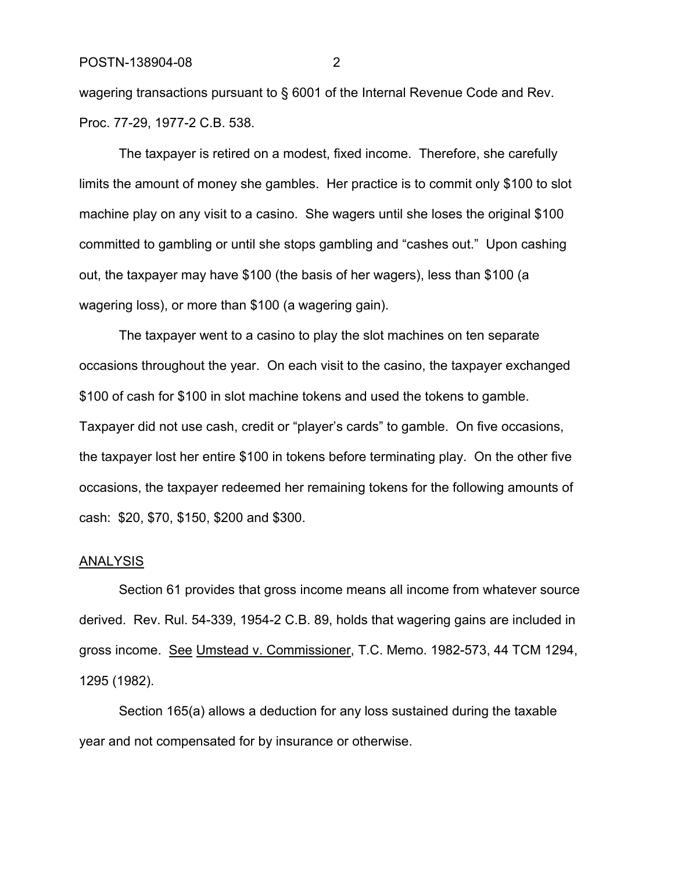wagering transactions pursuant to § 6001 of the Internal Revenue Code and Rev. Proc. 77-29, 1977-2 C.B. 538.

The taxpayer is retired on a modest, fixed income. Therefore, she carefully limits the amount of money she gambles. Her practice is to commit only \$100 to slot machine play on any visit to a casino. She wagers until she loses the original \$100 committed to gambling or until she stops gambling and "cashes out." Upon cashing out, the taxpayer may have \$100 (the basis of her wagers), less than \$100 (a wagering loss), or more than \$100 (a wagering gain).

The taxpayer went to a casino to play the slot machines on ten separate occasions throughout the year. On each visit to the casino, the taxpayer exchanged \$100 of cash for \$100 in slot machine tokens and used the tokens to gamble. Taxpayer did not use cash, credit or "player's cards" to gamble. On five occasions, the taxpayer lost her entire \$100 in tokens before terminating play. On the other five occasions, the taxpayer redeemed her remaining tokens for the following amounts of cash: \$20, \$70, \$150, \$200 and \$300.

#### ANALYSIS

Section 61 provides that gross income means all income from whatever source derived. Rev. Rul. 54-339, 1954-2 C.B. 89, holds that wagering gains are included in gross income. See Umstead v. Commissioner, T.C. Memo. 1982-573, 44 TCM 1294, 1295 (1982).

Section 165(a) allows a deduction for any loss sustained during the taxable year and not compensated for by insurance or otherwise.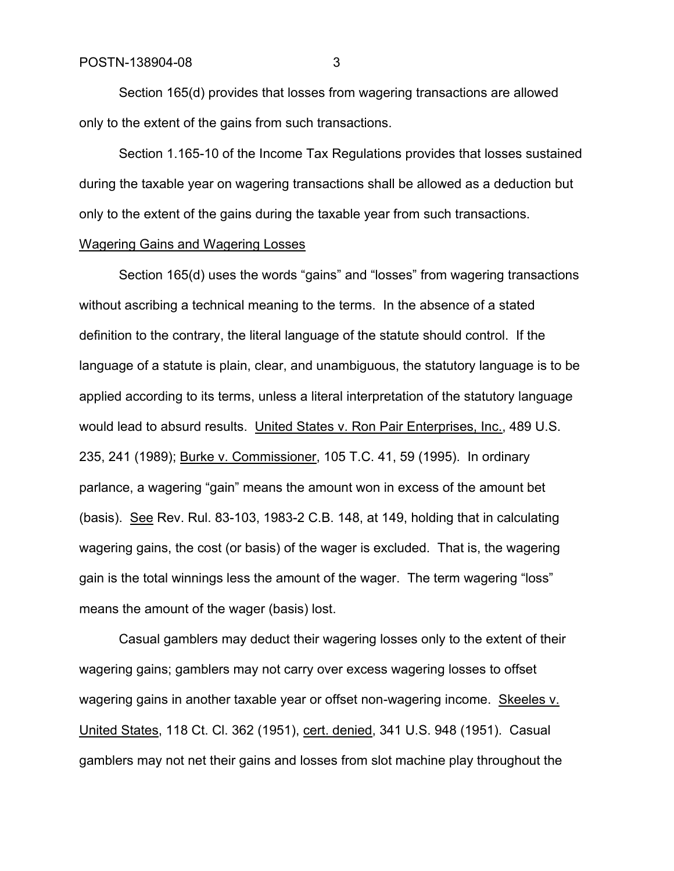Section 165(d) provides that losses from wagering transactions are allowed only to the extent of the gains from such transactions.

Section 1.165-10 of the Income Tax Regulations provides that losses sustained during the taxable year on wagering transactions shall be allowed as a deduction but only to the extent of the gains during the taxable year from such transactions.

### Wagering Gains and Wagering Losses

Section 165(d) uses the words "gains" and "losses" from wagering transactions without ascribing a technical meaning to the terms. In the absence of a stated definition to the contrary, the literal language of the statute should control. If the language of a statute is plain, clear, and unambiguous, the statutory language is to be applied according to its terms, unless a literal interpretation of the statutory language would lead to absurd results. United States v. Ron Pair Enterprises, Inc., 489 U.S. 235, 241 (1989); Burke v. Commissioner, 105 T.C. 41, 59 (1995). In ordinary parlance, a wagering "gain" means the amount won in excess of the amount bet (basis). See Rev. Rul. 83-103, 1983-2 C.B. 148, at 149, holding that in calculating wagering gains, the cost (or basis) of the wager is excluded. That is, the wagering gain is the total winnings less the amount of the wager. The term wagering "loss" means the amount of the wager (basis) lost.

Casual gamblers may deduct their wagering losses only to the extent of their wagering gains; gamblers may not carry over excess wagering losses to offset wagering gains in another taxable year or offset non-wagering income. Skeeles v. United States, 118 Ct. Cl. 362 (1951), cert. denied, 341 U.S. 948 (1951). Casual gamblers may not net their gains and losses from slot machine play throughout the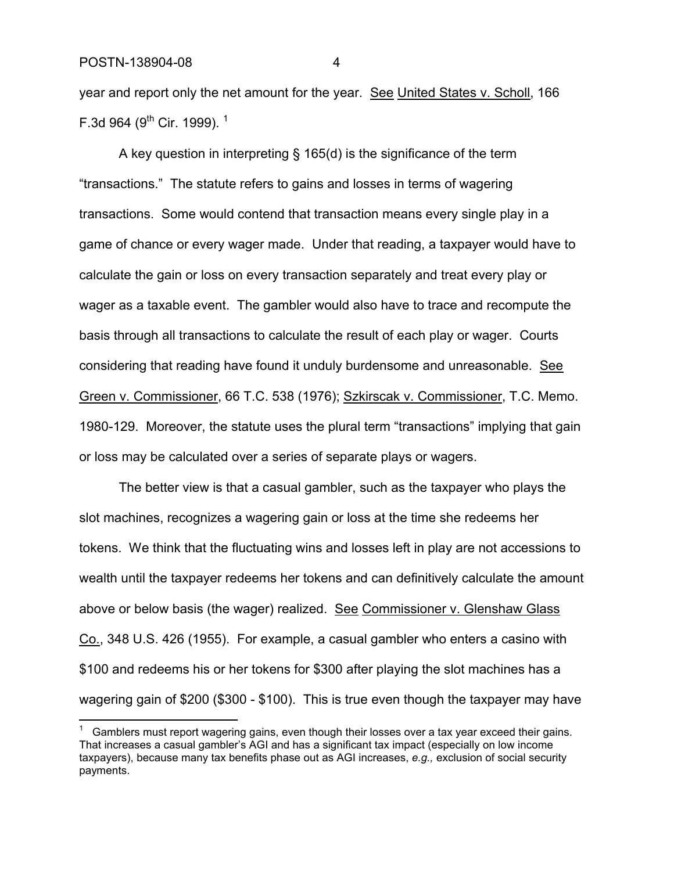year and report only the net amount for the year. See United States v. Scholl, 166 F.3d 964 (9<sup>th</sup> Cir. 1999).<sup>1</sup>

A key question in interpreting § 165(d) is the significance of the term "transactions." The statute refers to gains and losses in terms of wagering transactions. Some would contend that transaction means every single play in a game of chance or every wager made. Under that reading, a taxpayer would have to calculate the gain or loss on every transaction separately and treat every play or wager as a taxable event. The gambler would also have to trace and recompute the basis through all transactions to calculate the result of each play or wager. Courts considering that reading have found it unduly burdensome and unreasonable. See Green v. Commissioner, 66 T.C. 538 (1976); Szkirscak v. Commissioner, T.C. Memo. 1980-129. Moreover, the statute uses the plural term "transactions" implying that gain or loss may be calculated over a series of separate plays or wagers.

The better view is that a casual gambler, such as the taxpayer who plays the slot machines, recognizes a wagering gain or loss at the time she redeems her tokens. We think that the fluctuating wins and losses left in play are not accessions to wealth until the taxpayer redeems her tokens and can definitively calculate the amount above or below basis (the wager) realized. See Commissioner v. Glenshaw Glass Co., 348 U.S. 426 (1955). For example, a casual gambler who enters a casino with \$100 and redeems his or her tokens for \$300 after playing the slot machines has a wagering gain of \$200 (\$300 - \$100). This is true even though the taxpayer may have

Gamblers must report wagering gains, even though their losses over a tax year exceed their gains. That increases a casual gambler's AGI and has a significant tax impact (especially on low income taxpayers), because many tax benefits phase out as AGI increases, *e.g.,* exclusion of social security payments.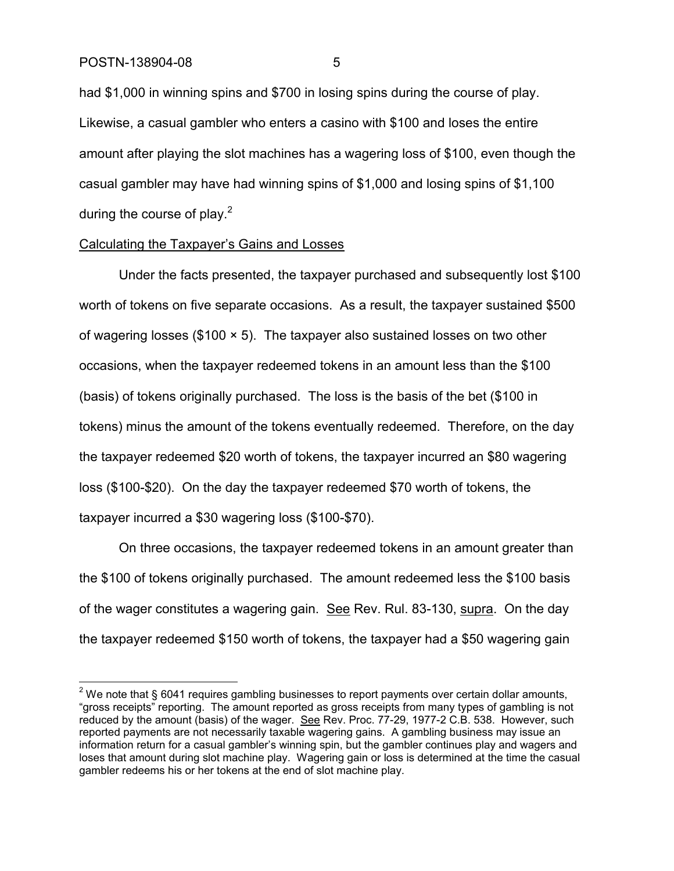had \$1,000 in winning spins and \$700 in losing spins during the course of play. Likewise, a casual gambler who enters a casino with \$100 and loses the entire amount after playing the slot machines has a wagering loss of \$100, even though the casual gambler may have had winning spins of \$1,000 and losing spins of \$1,100 during the course of play. $2^2$ 

### Calculating the Taxpayer's Gains and Losses

Under the facts presented, the taxpayer purchased and subsequently lost \$100 worth of tokens on five separate occasions. As a result, the taxpayer sustained \$500 of wagering losses ( $$100 \times 5$ ). The taxpayer also sustained losses on two other occasions, when the taxpayer redeemed tokens in an amount less than the \$100 (basis) of tokens originally purchased. The loss is the basis of the bet (\$100 in tokens) minus the amount of the tokens eventually redeemed. Therefore, on the day the taxpayer redeemed \$20 worth of tokens, the taxpayer incurred an \$80 wagering loss (\$100-\$20). On the day the taxpayer redeemed \$70 worth of tokens, the taxpayer incurred a \$30 wagering loss (\$100-\$70).

On three occasions, the taxpayer redeemed tokens in an amount greater than the \$100 of tokens originally purchased. The amount redeemed less the \$100 basis of the wager constitutes a wagering gain. See Rev. Rul. 83-130, supra. On the day the taxpayer redeemed \$150 worth of tokens, the taxpayer had a \$50 wagering gain

 $2$  We note that § 6041 requires gambling businesses to report payments over certain dollar amounts, "gross receipts" reporting. The amount reported as gross receipts from many types of gambling is not reduced by the amount (basis) of the wager. See Rev. Proc. 77-29, 1977-2 C.B. 538. However, such reported payments are not necessarily taxable wagering gains. A gambling business may issue an information return for a casual gambler's winning spin, but the gambler continues play and wagers and loses that amount during slot machine play. Wagering gain or loss is determined at the time the casual gambler redeems his or her tokens at the end of slot machine play.